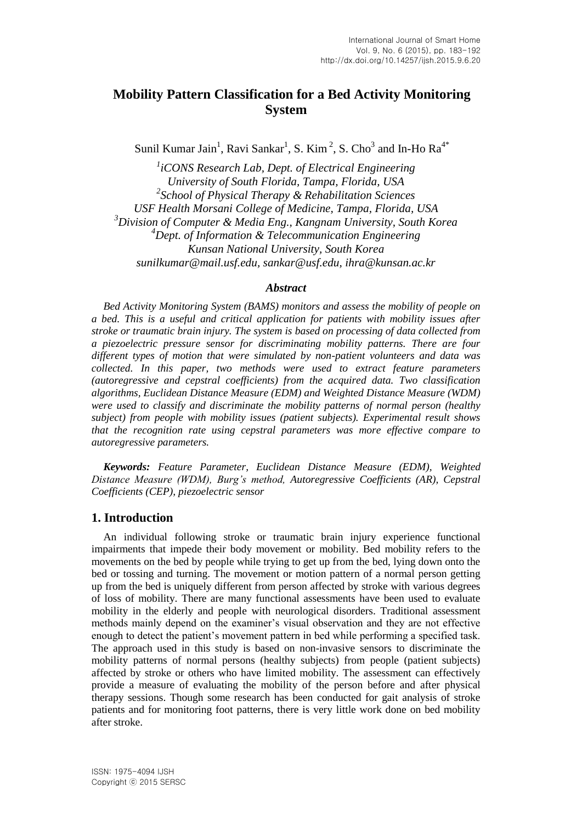# **Mobility Pattern Classification for a Bed Activity Monitoring System**

Sunil Kumar Jain<sup>1</sup>, Ravi Sankar<sup>1</sup>, S. Kim<sup>2</sup>, S. Cho<sup>3</sup> and In-Ho Ra<sup>4\*</sup>

*1 iCONS Research Lab, Dept. of Electrical Engineering University of South Florida, Tampa, Florida, USA 2 School of Physical Therapy & Rehabilitation Sciences USF Health Morsani College of Medicine, Tampa, Florida, USA <sup>3</sup>Division of Computer & Media Eng., Kangnam University, South Korea <sup>4</sup>Dept. of Information & Telecommunication Engineering Kunsan National University, South Korea sunilkumar@mail.usf.edu, sankar@usf.edu, ihra@kunsan.ac.kr*

### *Abstract*

*Bed Activity Monitoring System (BAMS) monitors and assess the mobility of people on a bed. This is a useful and critical application for patients with mobility issues after stroke or traumatic brain injury. The system is based on processing of data collected from a piezoelectric pressure sensor for discriminating mobility patterns. There are four different types of motion that were simulated by non-patient volunteers and data was collected. In this paper, two methods were used to extract feature parameters (autoregressive and cepstral coefficients) from the acquired data. Two classification algorithms, Euclidean Distance Measure (EDM) and Weighted Distance Measure (WDM) were used to classify and discriminate the mobility patterns of normal person (healthy subject) from people with mobility issues (patient subjects). Experimental result shows that the recognition rate using cepstral parameters was more effective compare to autoregressive parameters.*

*Keywords: Feature Parameter, Euclidean Distance Measure (EDM), Weighted Distance Measure (WDM), Burg's method, Autoregressive Coefficients (AR), Cepstral Coefficients (CEP), piezoelectric sensor*

# **1. Introduction**

An individual following stroke or traumatic brain injury experience functional impairments that impede their body movement or mobility. Bed mobility refers to the movements on the bed by people while trying to get up from the bed, lying down onto the bed or tossing and turning. The movement or motion pattern of a normal person getting up from the bed is uniquely different from person affected by stroke with various degrees of loss of mobility. There are many functional assessments have been used to evaluate mobility in the elderly and people with neurological disorders. Traditional assessment methods mainly depend on the examiner's visual observation and they are not effective enough to detect the patient's movement pattern in bed while performing a specified task. The approach used in this study is based on non-invasive sensors to discriminate the mobility patterns of normal persons (healthy subjects) from people (patient subjects) affected by stroke or others who have limited mobility. The assessment can effectively provide a measure of evaluating the mobility of the person before and after physical therapy sessions. Though some research has been conducted for gait analysis of stroke patients and for monitoring foot patterns, there is very little work done on bed mobility after stroke.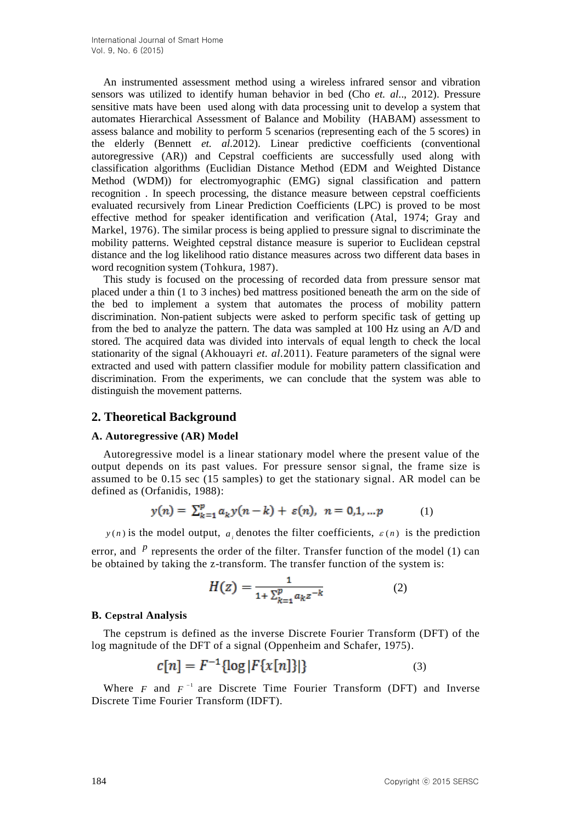An instrumented assessment method using a wireless infrared sensor and vibration sensors was utilized to identify human behavior in bed (Cho *et. al.*., 2012). Pressure sensitive mats have been used along with data processing unit to develop a system that automates Hierarchical Assessment of Balance and Mobility (HABAM) assessment to assess balance and mobility to perform 5 scenarios (representing each of the 5 scores) in the elderly (Bennett *et. al.*2012). Linear predictive coefficients (conventional autoregressive (AR)) and Cepstral coefficients are successfully used along with classification algorithms (Euclidian Distance Method (EDM and Weighted Distance Method (WDM)) for electromyographic (EMG) signal classification and pattern recognition . In speech processing, the distance measure between cepstral coefficients evaluated recursively from Linear Prediction Coefficients (LPC) is proved to be most effective method for speaker identification and verification (Atal, 1974; Gray and Markel, 1976). The similar process is being applied to pressure signal to discriminate the mobility patterns. Weighted cepstral distance measure is superior to Euclidean cepstral distance and the log likelihood ratio distance measures across two different data bases in word recognition system (Tohkura, 1987).

This study is focused on the processing of recorded data from pressure sensor mat placed under a thin (1 to 3 inches) bed mattress positioned beneath the arm on the side of the bed to implement a system that automates the process of mobility pattern discrimination. Non-patient subjects were asked to perform specific task of getting up from the bed to analyze the pattern. The data was sampled at 100 Hz using an A/D and stored. The acquired data was divided into intervals of equal length to check the local stationarity of the signal (Akhouayri *et. al.*2011). Feature parameters of the signal were extracted and used with pattern classifier module for mobility pattern classification and discrimination. From the experiments, we can conclude that the system was able to distinguish the movement patterns.

# **2. Theoretical Background**

## **A. Autoregressive (AR) Model**

Autoregressive model is a linear stationary model where the present value of the output depends on its past values. For pressure sensor signal, the frame size is assumed to be 0.15 sec (15 samples) to get the stationary signal. AR model can be defined as (Orfanidis, 1988):

$$
y(n) = \sum_{k=1}^{p} a_k y(n-k) + \varepsilon(n), \quad n = 0, 1, \dots p \tag{1}
$$

 $y(n)$  is the model output,  $a_i$  denotes the filter coefficients,  $\varepsilon(n)$  is the prediction

error, and  $P$  represents the order of the filter. Transfer function of the model (1) can be obtained by taking the z-transform. The transfer function of the system is:

$$
H(z) = \frac{1}{1 + \sum_{k=1}^{p} a_k z^{-k}}
$$
 (2)

### **B. Cepstral Analysis**

The cepstrum is defined as the inverse Discrete Fourier Transform (DFT) of the log magnitude of the DFT of a signal (Oppenheim and Schafer, 1975).

$$
c[n] = F^{-1} \{ \log |F\{x[n]\} | \}
$$
 (3)

Where  $F$  and  $F^{-1}$  are Discrete Time Fourier Transform (DFT) and Inverse Discrete Time Fourier Transform (IDFT).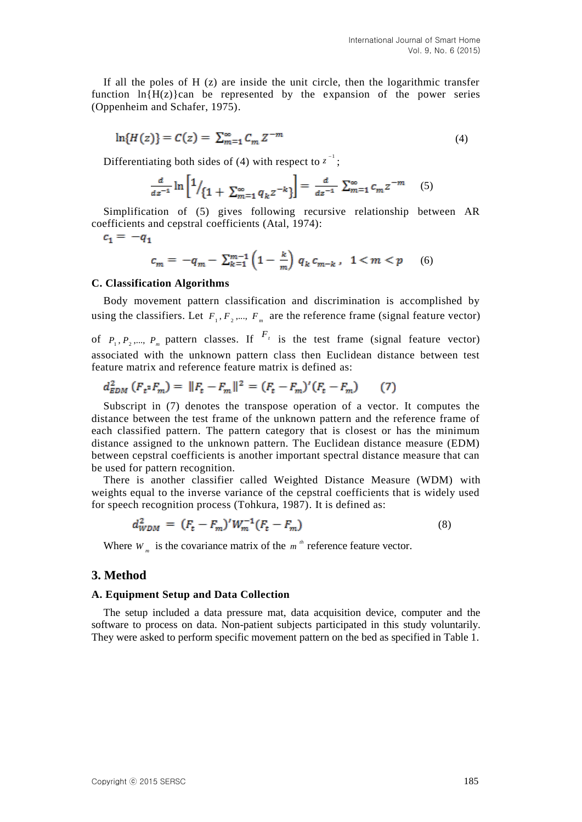If all the poles of  $H(z)$  are inside the unit circle, then the logarithmic transfer function  $\ln\{H(z)\}$ can be represented by the expansion of the power series (Oppenheim and Schafer, 1975).

$$
\ln\{H(z)\} = C(z) = \sum_{m=1}^{\infty} C_m z^{-m}
$$
 (4)

Differentiating both sides of (4) with respect to  $z^{-1}$ ;

$$
\frac{d}{dz^{-1}}\ln\left[1/\left\{1+\sum_{m=1}^{\infty}q_kz^{-k}\right\}\right]=\frac{d}{dz^{-1}}\sum_{m=1}^{\infty}c_mz^{-m}
$$
 (5)

Simplification of (5) gives following recursive relationship between AR coefficients and cepstral coefficients (Atal, 1974):

 $c_1 = -q_1$ 

$$
c_m = -q_m - \sum_{k=1}^{m-1} \left( 1 - \frac{k}{m} \right) q_k \, c_{m-k} \,, \quad 1 < m < p \tag{6}
$$

### **C. Classification Algorithms**

Body movement pattern classification and discrimination is accomplished by using the classifiers. Let  $F_1, F_2, \dots, F_m$  are the reference frame (signal feature vector)

of  $P_1, P_2, \dots, P_m$  pattern classes. If  $F_i$  is the test frame (signal feature vector) associated with the unknown pattern class then Euclidean distance between test feature matrix and reference feature matrix is defined as:

$$
d_{EDM}^2 \left( F_{t^2} F_m \right) = \| F_t - F_m \|^2 = (F_t - F_m)' (F_t - F_m) \tag{7}
$$

Subscript in (7) denotes the transpose operation of a vector. It computes the distance between the test frame of the unknown pattern and the reference frame of each classified pattern. The pattern category that is closest or has the minimum distance assigned to the unknown pattern. The Euclidean distance measure (EDM) between cepstral coefficients is another important spectral distance measure that can be used for pattern recognition.

There is another classifier called Weighted Distance Measure (WDM) with weights equal to the inverse variance of the cepstral coefficients that is widely used for speech recognition process (Tohkura, 1987). It is defined as:

$$
d_{WDM}^2 = (F_t - F_m)' W_m^{-1} (F_t - F_m)
$$
\n(8)

Where  $W_m$  is the covariance matrix of the  $m^m$  reference feature vector.

### **3. Method**

#### **A. Equipment Setup and Data Collection**

The setup included a data pressure mat, data acquisition device, computer and the software to process on data. Non-patient subjects participated in this study voluntarily. They were asked to perform specific movement pattern on the bed as specified in Table 1.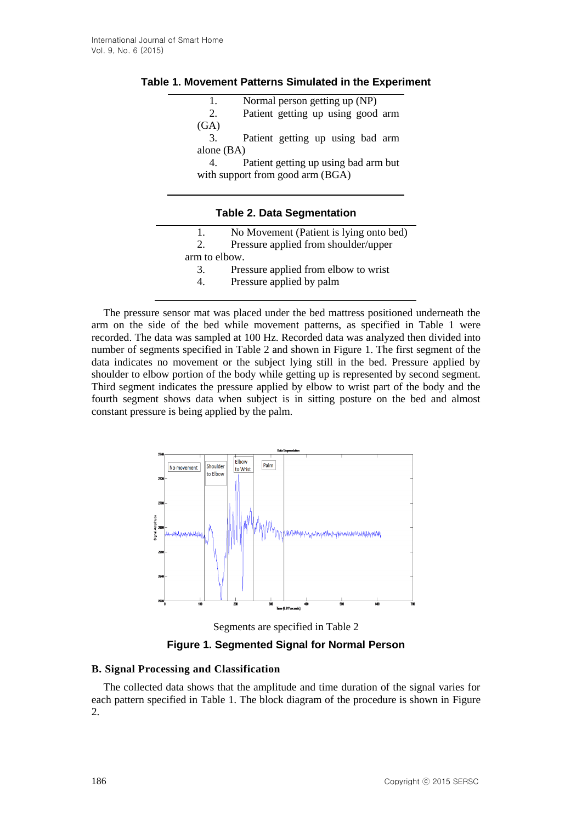## **Table 1. Movement Patterns Simulated in the Experiment**

| 1.                                | Normal person getting up (NP)              |  |  |  |  |
|-----------------------------------|--------------------------------------------|--|--|--|--|
| 2.                                | Patient getting up using good arm          |  |  |  |  |
| (GA)                              |                                            |  |  |  |  |
| 3.                                | Patient getting up using bad arm           |  |  |  |  |
|                                   | alone $(BA)$                               |  |  |  |  |
|                                   | Patient getting up using bad arm but<br>4. |  |  |  |  |
|                                   | with support from good arm (BGA)           |  |  |  |  |
|                                   |                                            |  |  |  |  |
|                                   |                                            |  |  |  |  |
| <b>Table 2. Data Segmentation</b> |                                            |  |  |  |  |
|                                   |                                            |  |  |  |  |
| 1.                                | No Movement (Patient is lying onto bed)    |  |  |  |  |
| 2.                                | Pressure applied from shoulder/upper       |  |  |  |  |

arm to elbow.

- 3. Pressure applied from elbow to wrist
- 4. Pressure applied by palm

The pressure sensor mat was placed under the bed mattress positioned underneath the arm on the side of the bed while movement patterns, as specified in Table 1 were recorded. The data was sampled at 100 Hz. Recorded data was analyzed then divided into number of segments specified in Table 2 and shown in Figure 1. The first segment of the data indicates no movement or the subject lying still in the bed. Pressure applied by shoulder to elbow portion of the body while getting up is represented by second segment. Third segment indicates the pressure applied by elbow to wrist part of the body and the fourth segment shows data when subject is in sitting posture on the bed and almost constant pressure is being applied by the palm.



Segments are specified in Table 2

**Figure 1. Segmented Signal for Normal Person**

## **B. Signal Processing and Classification**

The collected data shows that the amplitude and time duration of the signal varies for each pattern specified in Table 1. The block diagram of the procedure is shown in Figure 2.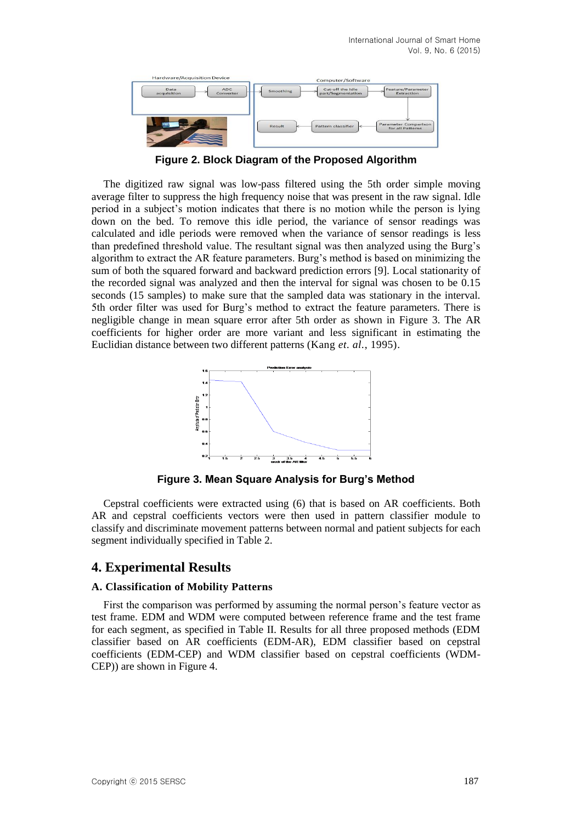

**Figure 2. Block Diagram of the Proposed Algorithm**

The digitized raw signal was low-pass filtered using the 5th order simple moving average filter to suppress the high frequency noise that was present in the raw signal. Idle period in a subject's motion indicates that there is no motion while the person is lying down on the bed. To remove this idle period, the variance of sensor readings was calculated and idle periods were removed when the variance of sensor readings is less than predefined threshold value. The resultant signal was then analyzed using the Burg's algorithm to extract the AR feature parameters. Burg's method is based on minimizing the sum of both the squared forward and backward prediction errors [9]. Local stationarity of the recorded signal was analyzed and then the interval for signal was chosen to be 0.15 seconds (15 samples) to make sure that the sampled data was stationary in the interval. 5th order filter was used for Burg's method to extract the feature parameters. There is negligible change in mean square error after 5th order as shown in Figure 3. The AR coefficients for higher order are more variant and less significant in estimating the Euclidian distance between two different patterns (Kang *et. al.*, 1995).



**Figure 3. Mean Square Analysis for Burg's Method**

Cepstral coefficients were extracted using (6) that is based on AR coefficients. Both AR and cepstral coefficients vectors were then used in pattern classifier module to classify and discriminate movement patterns between normal and patient subjects for each segment individually specified in Table 2.

# **4. Experimental Results**

## **A. Classification of Mobility Patterns**

First the comparison was performed by assuming the normal person's feature vector as test frame. EDM and WDM were computed between reference frame and the test frame for each segment, as specified in Table II. Results for all three proposed methods (EDM classifier based on AR coefficients (EDM-AR), EDM classifier based on cepstral coefficients (EDM-CEP) and WDM classifier based on cepstral coefficients (WDM-CEP)) are shown in Figure 4.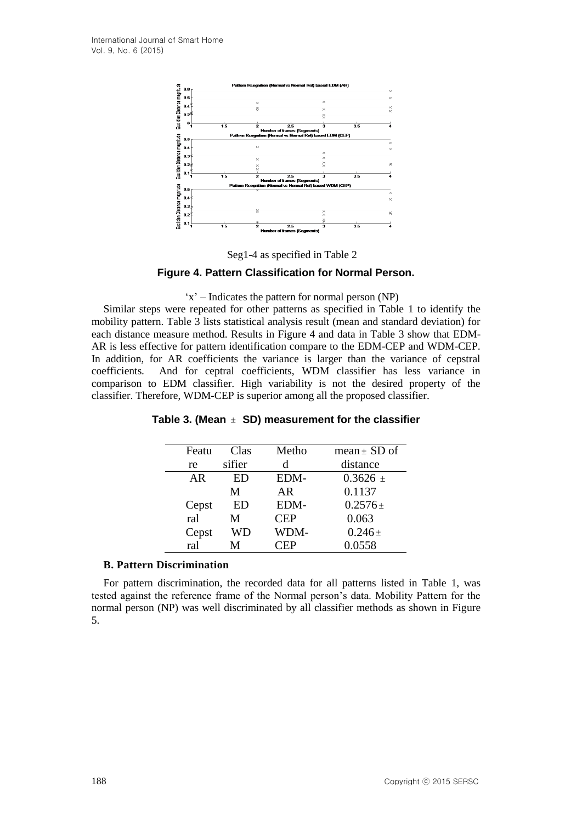

Seg1-4 as specified in Table 2

### **Figure 4. Pattern Classification for Normal Person.**

### 'x' – Indicates the pattern for normal person (NP)

Similar steps were repeated for other patterns as specified in Table 1 to identify the mobility pattern. Table 3 lists statistical analysis result (mean and standard deviation) for each distance measure method. Results in Figure 4 and data in Table 3 show that EDM-AR is less effective for pattern identification compare to the EDM-CEP and WDM-CEP. In addition, for AR coefficients the variance is larger than the variance of cepstral coefficients. And for ceptral coefficients, WDM classifier has less variance in comparison to EDM classifier. High variability is not the desired property of the classifier. Therefore, WDM-CEP is superior among all the proposed classifier.

| Featu | Clas   | Metho      | mean $\pm$ SD of |
|-------|--------|------------|------------------|
| re    | sifier | d          | distance         |
| AR    | ED     | EDM-       | $0.3626 \pm$     |
|       | M      | AR         | 0.1137           |
| Cepst | ED     | EDM-       | $0.2576 \pm$     |
| ral   | M      | <b>CEP</b> | 0.063            |
| Cepst | WD     | WDM-       | $0.246 \pm$      |
| ral   | М      | `EP        | 0.0558           |

**Table 3. (Mean SD) measurement for the classifier**

### **B. Pattern Discrimination**

For pattern discrimination, the recorded data for all patterns listed in Table 1, was tested against the reference frame of the Normal person's data. Mobility Pattern for the normal person (NP) was well discriminated by all classifier methods as shown in Figure 5.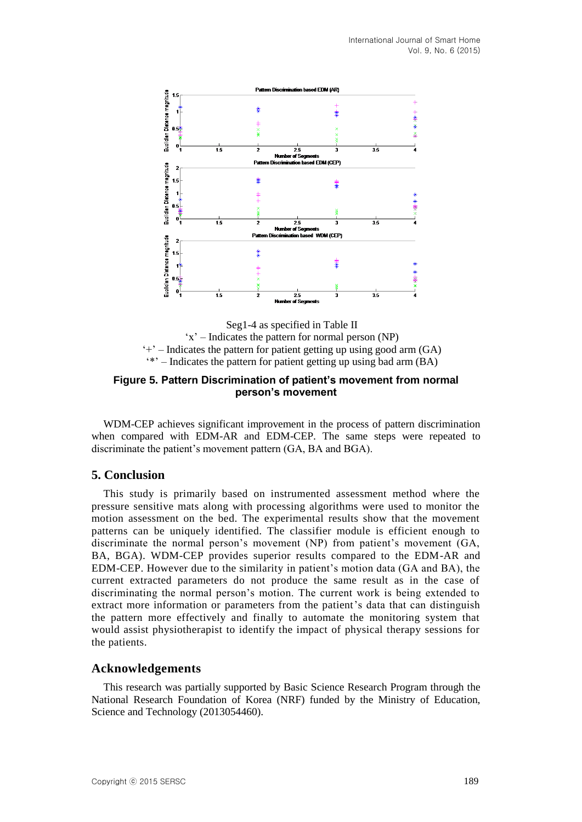

Seg1-4 as specified in Table II 'x' – Indicates the pattern for normal person (NP)  $+$ <sup>2</sup> – Indicates the pattern for patient getting up using good arm  $(GA)$ '\*' – Indicates the pattern for patient getting up using bad arm (BA)

## **Figure 5. Pattern Discrimination of patient's movement from normal person's movement**

WDM-CEP achieves significant improvement in the process of pattern discrimination when compared with EDM-AR and EDM-CEP. The same steps were repeated to discriminate the patient's movement pattern (GA, BA and BGA).

# **5. Conclusion**

This study is primarily based on instrumented assessment method where the pressure sensitive mats along with processing algorithms were used to monitor the motion assessment on the bed. The experimental results show that the movement patterns can be uniquely identified. The classifier module is efficient enough to discriminate the normal person's movement (NP) from patient's movement (GA, BA, BGA). WDM-CEP provides superior results compared to the EDM-AR and EDM-CEP. However due to the similarity in patient's motion data (GA and BA), the current extracted parameters do not produce the same result as in the case of discriminating the normal person's motion. The current work is being extended to extract more information or parameters from the patient's data that can distinguish the pattern more effectively and finally to automate the monitoring system that would assist physiotherapist to identify the impact of physical therapy sessions for the patients.

## **Acknowledgements**

This research was partially supported by Basic Science Research Program through the National Research Foundation of Korea (NRF) funded by the Ministry of Education, Science and Technology (2013054460).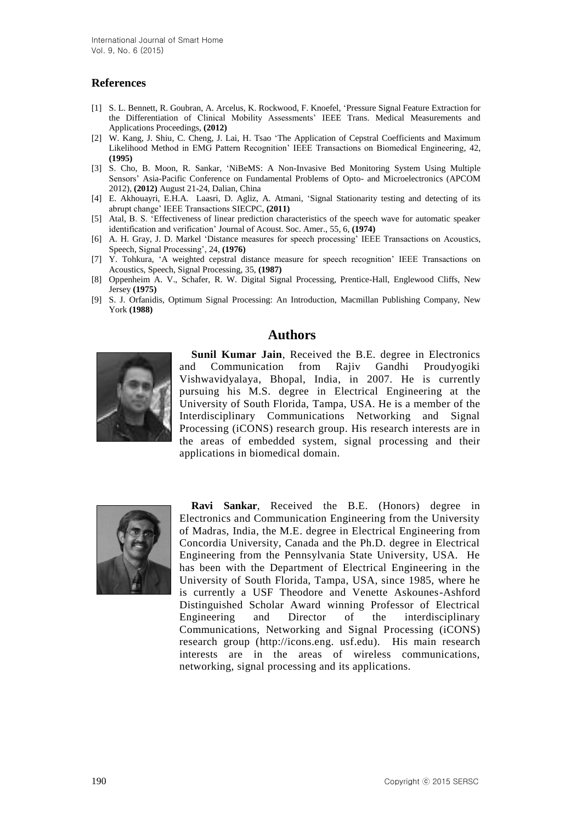## **References**

- [1] S. L. Bennett, R. Goubran, A. Arcelus, K. Rockwood, F. Knoefel, 'Pressure Signal Feature Extraction for the Differentiation of Clinical Mobility Assessments' IEEE Trans. Medical Measurements and Applications Proceedings, **(2012)**
- [2] W. Kang, J. Shiu, C. Cheng, J. Lai, H. Tsao 'The Application of Cepstral Coefficients and Maximum Likelihood Method in EMG Pattern Recognition' IEEE Transactions on Biomedical Engineering, 42, **(1995)**
- [3] S. Cho, B. Moon, R. Sankar, 'NiBeMS: A Non-Invasive Bed Monitoring System Using Multiple Sensors' Asia-Pacific Conference on Fundamental Problems of Opto- and Microelectronics (APCOM 2012), **(2012)** August 21-24, Dalian, China
- [4] E. Akhouayri, E.H.A. Laasri, D. Agliz, A. Atmani, 'Signal Stationarity testing and detecting of its abrupt change' IEEE Transactions SIECPC, **(2011)**
- [5] Atal, B. S. 'Effectiveness of linear prediction characteristics of the speech wave for automatic speaker identification and verification' Journal of Acoust. Soc. Amer., 55, 6, **(1974)**
- [6] A. H. Gray, J. D. Markel 'Distance measures for speech processing' IEEE Transactions on Acoustics, Speech, Signal Processing', 24, **(1976)**
- [7] Y. Tohkura, 'A weighted cepstral distance measure for speech recognition' IEEE Transactions on Acoustics, Speech, Signal Processing, 35, **(1987)**
- [8] Oppenheim A. V., Schafer, R. W. Digital Signal Processing, Prentice-Hall, Englewood Cliffs, New Jersey **(1975)**
- [9] S. J. Orfanidis, Optimum Signal Processing: An Introduction, Macmillan Publishing Company, New York **(1988)**

## **Authors**



**Sunil Kumar Jain**, Received the B.E. degree in Electronics and Communication from Rajiv Gandhi Proudyogiki Vishwavidyalaya, Bhopal, India, in 2007. He is currently pursuing his M.S. degree in Electrical Engineering at the University of South Florida, Tampa, USA. He is a member of the Interdisciplinary Communications Networking and Signal Processing (iCONS) research group. His research interests are in the areas of embedded system, signal processing and their applications in biomedical domain.



**Ravi Sankar**, Received the B.E. (Honors) degree in Electronics and Communication Engineering from the University of Madras, India, the M.E. degree in Electrical Engineering from Concordia University, Canada and the Ph.D. degree in Electrical Engineering from the Pennsylvania State University, USA. He has been with the Department of Electrical Engineering in the University of South Florida, Tampa, USA, since 1985, where he is currently a USF Theodore and Venette Askounes-Ashford Distinguished Scholar Award winning Professor of Electrical Engineering and Director of the interdisciplinary Communications, Networking and Signal Processing (iCONS) research group (http://icons.eng. usf.edu). His main research interests are in the areas of wireless communications, networking, signal processing and its applications.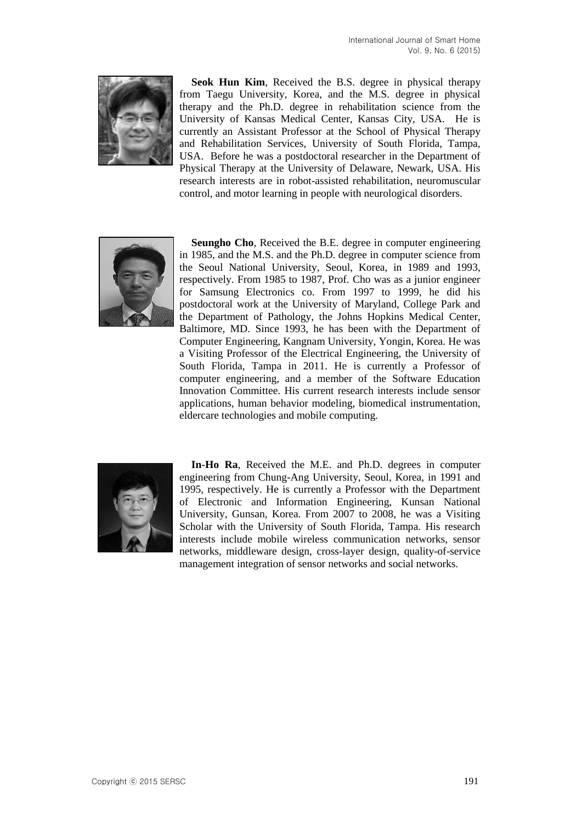

**Seok Hun Kim**, Received the B.S. degree in physical therapy from Taegu University, Korea, and the M.S. degree in physical therapy and the Ph.D. degree in rehabilitation science from the University of Kansas Medical Center, Kansas City, USA. He is currently an Assistant Professor at the School of Physical Therapy and Rehabilitation Services, University of South Florida, Tampa, USA. Before he was a postdoctoral researcher in the Department of Physical Therapy at the University of Delaware, Newark, USA. His research interests are in robot-assisted rehabilitation, neuromuscular control, and motor learning in people with neurological disorders.



**Seungho Cho**, Received the B.E. degree in computer engineering in 1985, and the M.S. and the Ph.D. degree in computer science from the Seoul National University, Seoul, Korea, in 1989 and 1993, respectively. From 1985 to 1987, Prof. Cho was as a junior engineer for Samsung Electronics co. From 1997 to 1999, he did his postdoctoral work at the University of Maryland, College Park and the Department of Pathology, the Johns Hopkins Medical Center, Baltimore, MD. Since 1993, he has been with the Department of Computer Engineering, Kangnam University, Yongin, Korea. He was a Visiting Professor of the Electrical Engineering, the University of South Florida, Tampa in 2011. He is currently a Professor of computer engineering, and a member of the Software Education Innovation Committee. His current research interests include sensor applications, human behavior modeling, biomedical instrumentation, eldercare technologies and mobile computing.



**In-Ho Ra**, Received the M.E. and Ph.D. degrees in computer engineering from Chung-Ang University, Seoul, Korea, in 1991 and 1995, respectively. He is currently a Professor with the Department of Electronic and Information Engineering, Kunsan National University, Gunsan, Korea. From 2007 to 2008, he was a Visiting Scholar with the University of South Florida, Tampa. His research interests include mobile wireless communication networks, sensor networks, middleware design, cross-layer design, quality-of-service management integration of sensor networks and social networks.